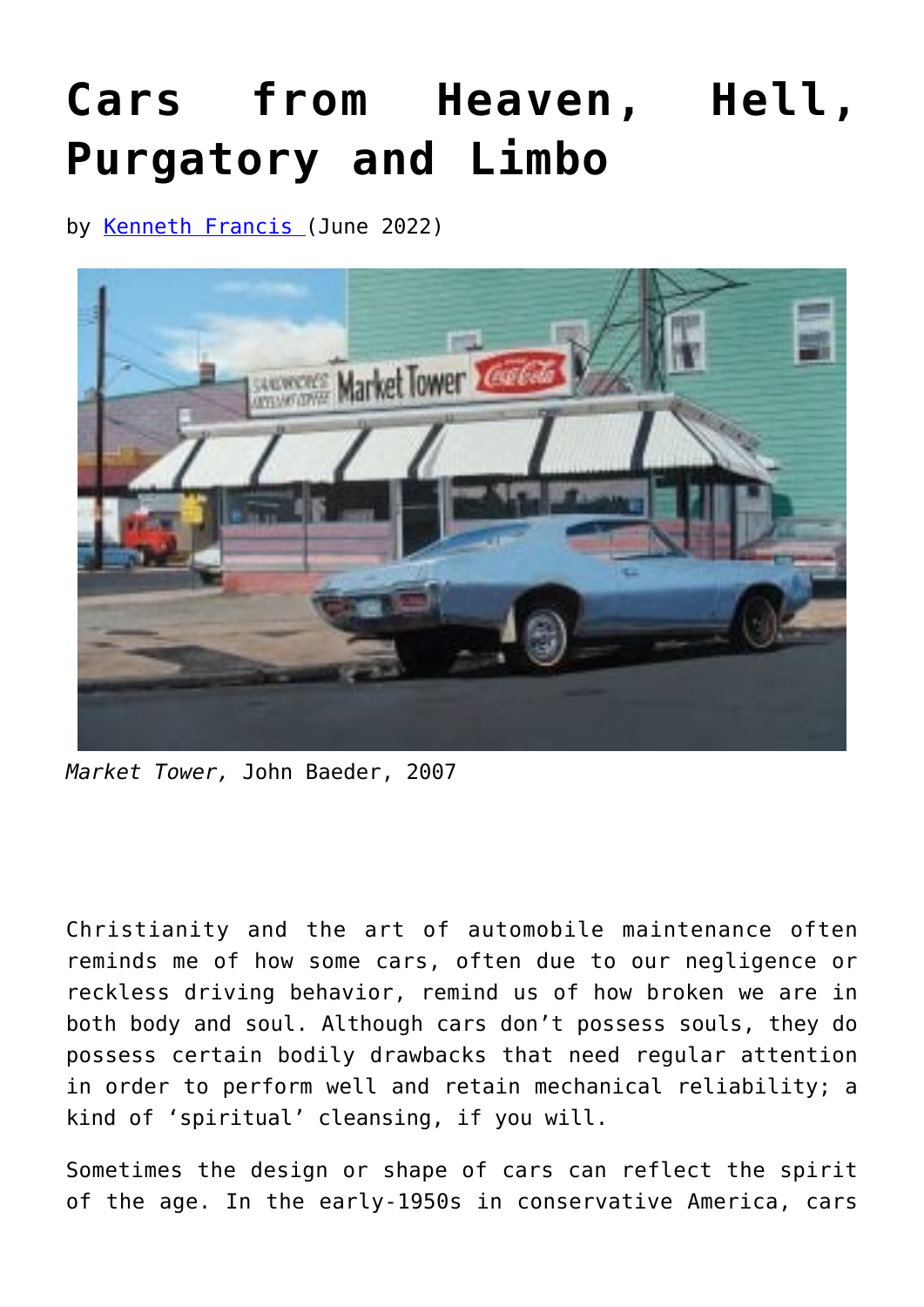## **[Cars from Heaven, Hell,](https://www.newenglishreview.org/articles/cars-from-heaven-hell-purgatory-and-limbo/) [Purgatory and Limbo](https://www.newenglishreview.org/articles/cars-from-heaven-hell-purgatory-and-limbo/)**

by [Kenneth Francis \(](https://www.newenglishreview.org/authors/kenneth-francis/)June 2022)



*Market Tower,* John Baeder, 2007

Christianity and the art of automobile maintenance often reminds me of how some cars, often due to our negligence or reckless driving behavior, remind us of how broken we are in both body and soul. Although cars don't possess souls, they do possess certain bodily drawbacks that need regular attention in order to perform well and retain mechanical reliability; a kind of 'spiritual' cleansing, if you will.

Sometimes the design or shape of cars can reflect the spirit of the age. In the early-1950s in conservative America, cars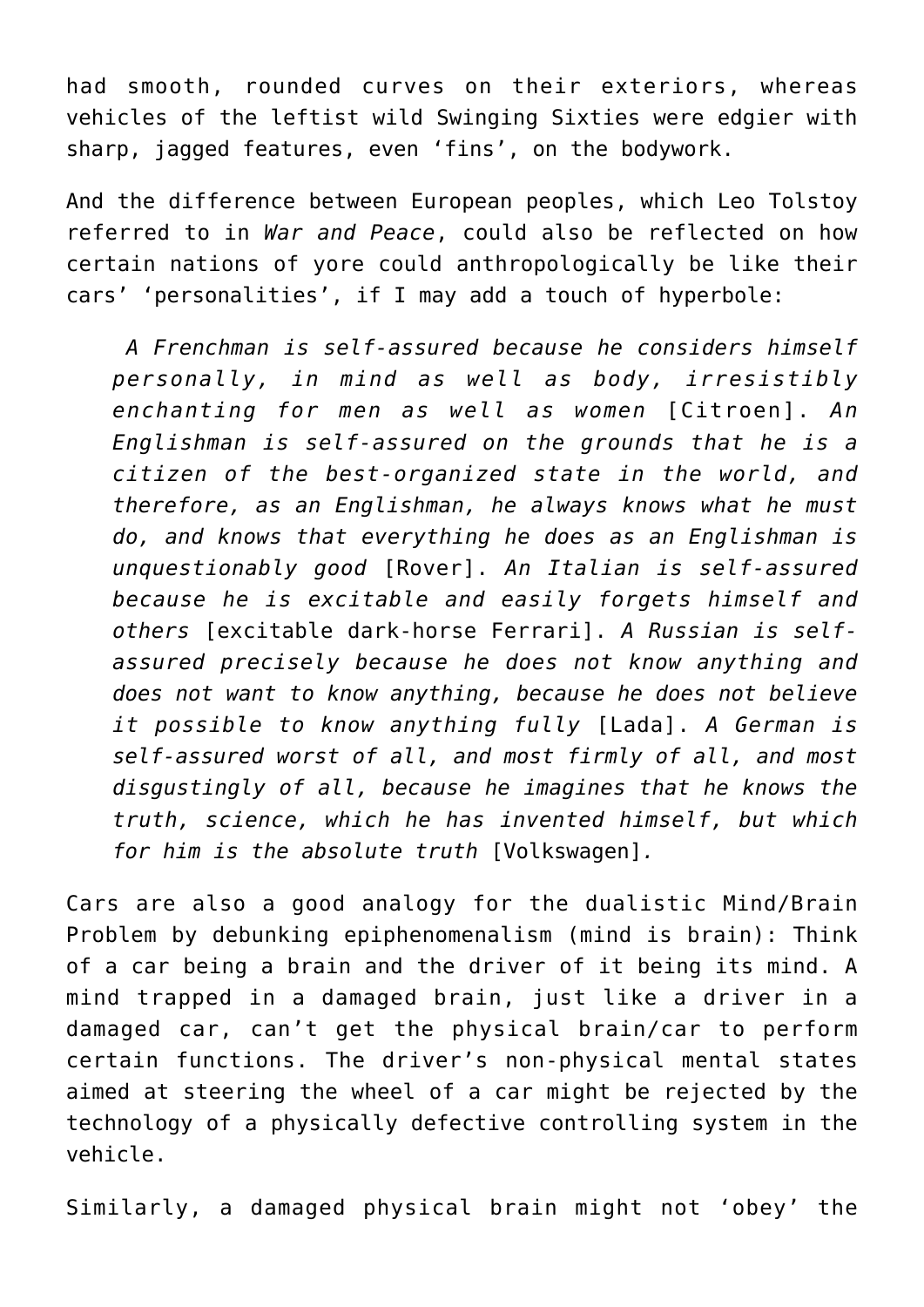had smooth, rounded curves on their exteriors, whereas vehicles of the leftist wild Swinging Sixties were edgier with sharp, jagged features, even 'fins', on the bodywork.

And the difference between European peoples, which Leo Tolstoy referred to in *War and Peace*, could also be reflected on how certain nations of yore could anthropologically be like their cars' 'personalities', if I may add a touch of hyperbole:

*A Frenchman is self-assured because he considers himself personally, in mind as well as body, irresistibly enchanting for men as well as women* [Citroen]. *An Englishman is self-assured on the grounds that he is a citizen of the best-organized state in the world, and therefore, as an Englishman, he always knows what he must do, and knows that everything he does as an Englishman is unquestionably good* [Rover]. *An Italian is self-assured because he is excitable and easily forgets himself and others* [excitable dark-horse Ferrari]. *A Russian is selfassured precisely because he does not know anything and does not want to know anything, because he does not believe it possible to know anything fully* [Lada]. *A German is self-assured worst of all, and most firmly of all, and most disgustingly of all, because he imagines that he knows the truth, science, which he has invented himself, but which for him is the absolute truth* [Volkswagen]*.*

Cars are also a good analogy for the dualistic Mind/Brain Problem by debunking epiphenomenalism (mind is brain): Think of a car being a brain and the driver of it being its mind. A mind trapped in a damaged brain, just like a driver in a damaged car, can't get the physical brain/car to perform certain functions. The driver's non-physical mental states aimed at steering the wheel of a car might be rejected by the technology of a physically defective controlling system in the vehicle.

Similarly, a damaged physical brain might not 'obey' the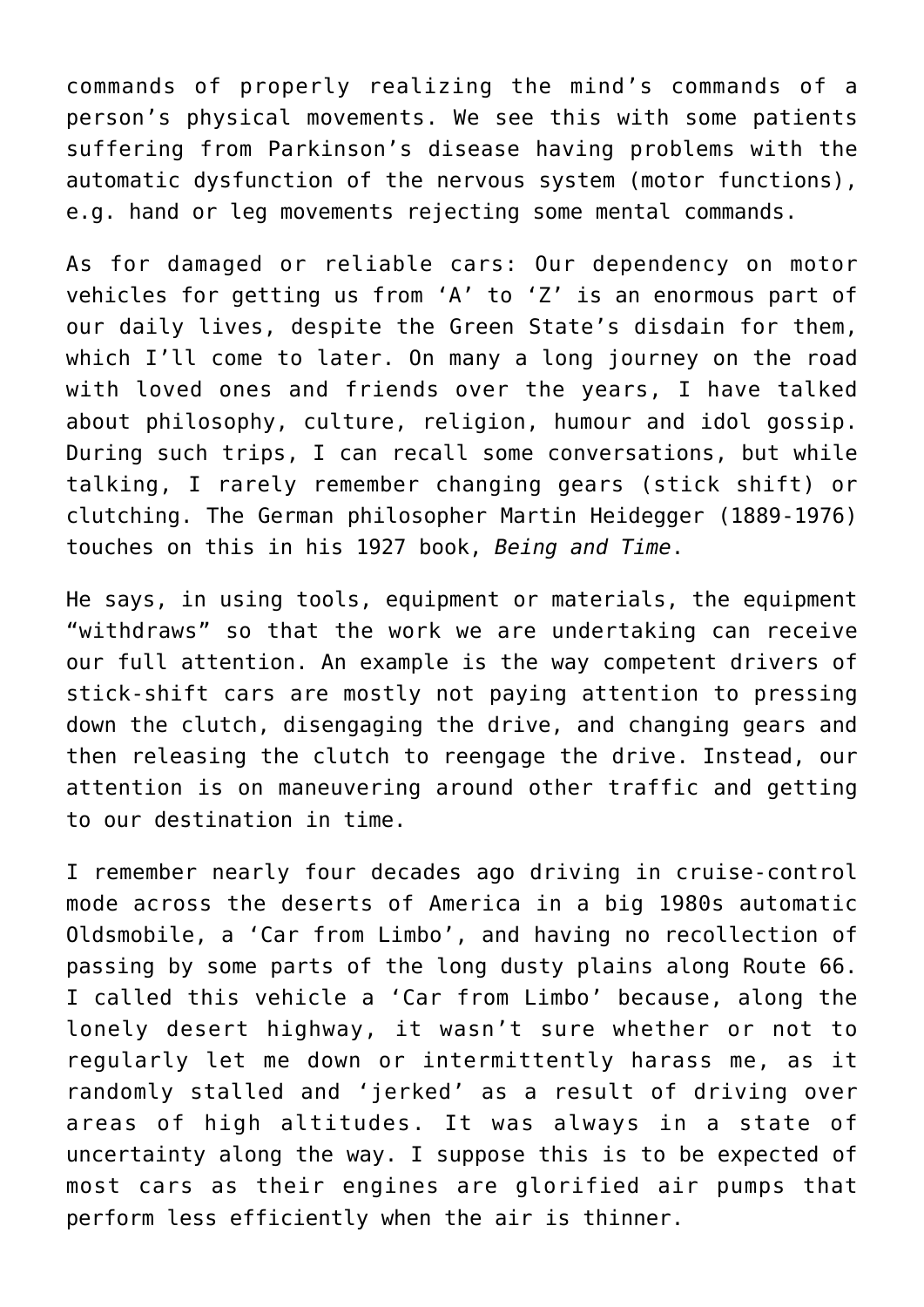commands of properly realizing the mind's commands of a person's physical movements. We see this with some patients suffering from Parkinson's disease having problems with the automatic dysfunction of the nervous system (motor functions), e.g. hand or leg movements rejecting some mental commands.

As for damaged or reliable cars: Our dependency on motor vehicles for getting us from 'A' to 'Z' is an enormous part of our daily lives, despite the Green State's disdain for them, which I'll come to later. On many a long journey on the road with loved ones and friends over the years, I have talked about philosophy, culture, religion, humour and idol gossip. During such trips, I can recall some conversations, but while talking, I rarely remember changing gears (stick shift) or clutching. The German philosopher Martin Heidegger (1889-1976) touches on this in his 1927 book, *Being and Time*.

He says, in using tools, equipment or materials, the equipment "withdraws" so that the work we are undertaking can receive our full attention. An example is the way competent drivers of stick-shift cars are mostly not paying attention to pressing down the clutch, disengaging the drive, and changing gears and then releasing the clutch to reengage the drive. Instead, our attention is on maneuvering around other traffic and getting to our destination in time.

I remember nearly four decades ago driving in cruise-control mode across the deserts of America in a big 1980s automatic Oldsmobile, a 'Car from Limbo', and having no recollection of passing by some parts of the long dusty plains along Route 66. I called this vehicle a 'Car from Limbo' because, along the lonely desert highway, it wasn't sure whether or not to regularly let me down or intermittently harass me, as it randomly stalled and 'jerked' as a result of driving over areas of high altitudes. It was always in a state of uncertainty along the way. I suppose this is to be expected of most cars as their engines are glorified air pumps that perform less efficiently when the air is thinner.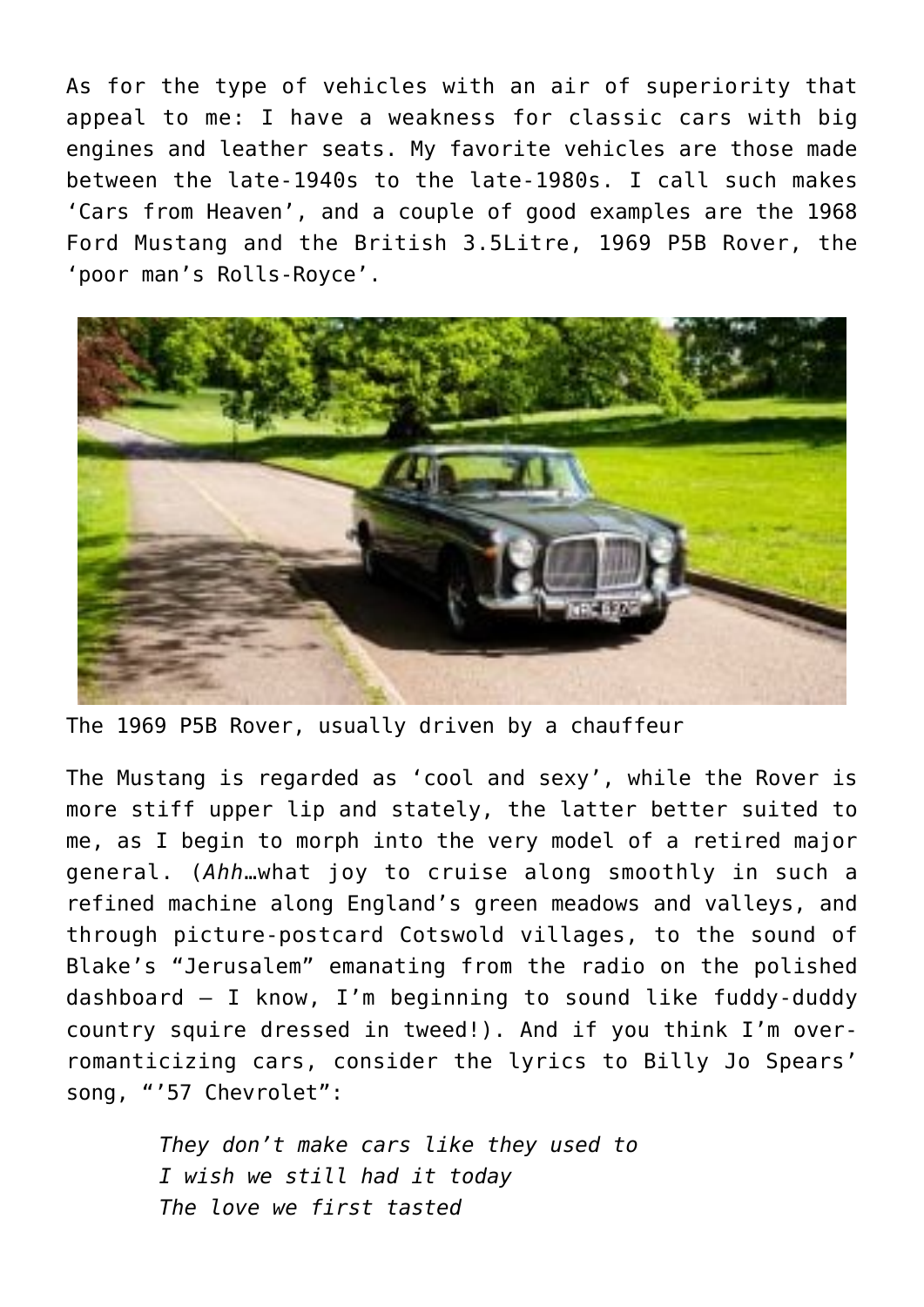As for the type of vehicles with an air of superiority that appeal to me: I have a weakness for classic cars with big engines and leather seats. My favorite vehicles are those made between the late-1940s to the late-1980s. I call such makes 'Cars from Heaven', and a couple of good examples are the 1968 Ford Mustang and the British 3.5Litre, 1969 P5B Rover, the 'poor man's Rolls-Royce'.



The 1969 P5B Rover, usually driven by a chauffeur

The Mustang is regarded as 'cool and sexy', while the Rover is more stiff upper lip and stately, the latter better suited to me, as I begin to morph into the very model of a retired major general. (*Ahh*…what joy to cruise along smoothly in such a refined machine along England's green meadows and valleys, and through picture-postcard Cotswold villages, to the sound of Blake's "Jerusalem" emanating from the radio on the polished dashboard — I know, I'm beginning to sound like fuddy-duddy country squire dressed in tweed!). And if you think I'm overromanticizing cars, consider the lyrics to Billy Jo Spears' song, "'57 Chevrolet":

> *They don't make cars like they used to I wish we still had it today The love we first tasted*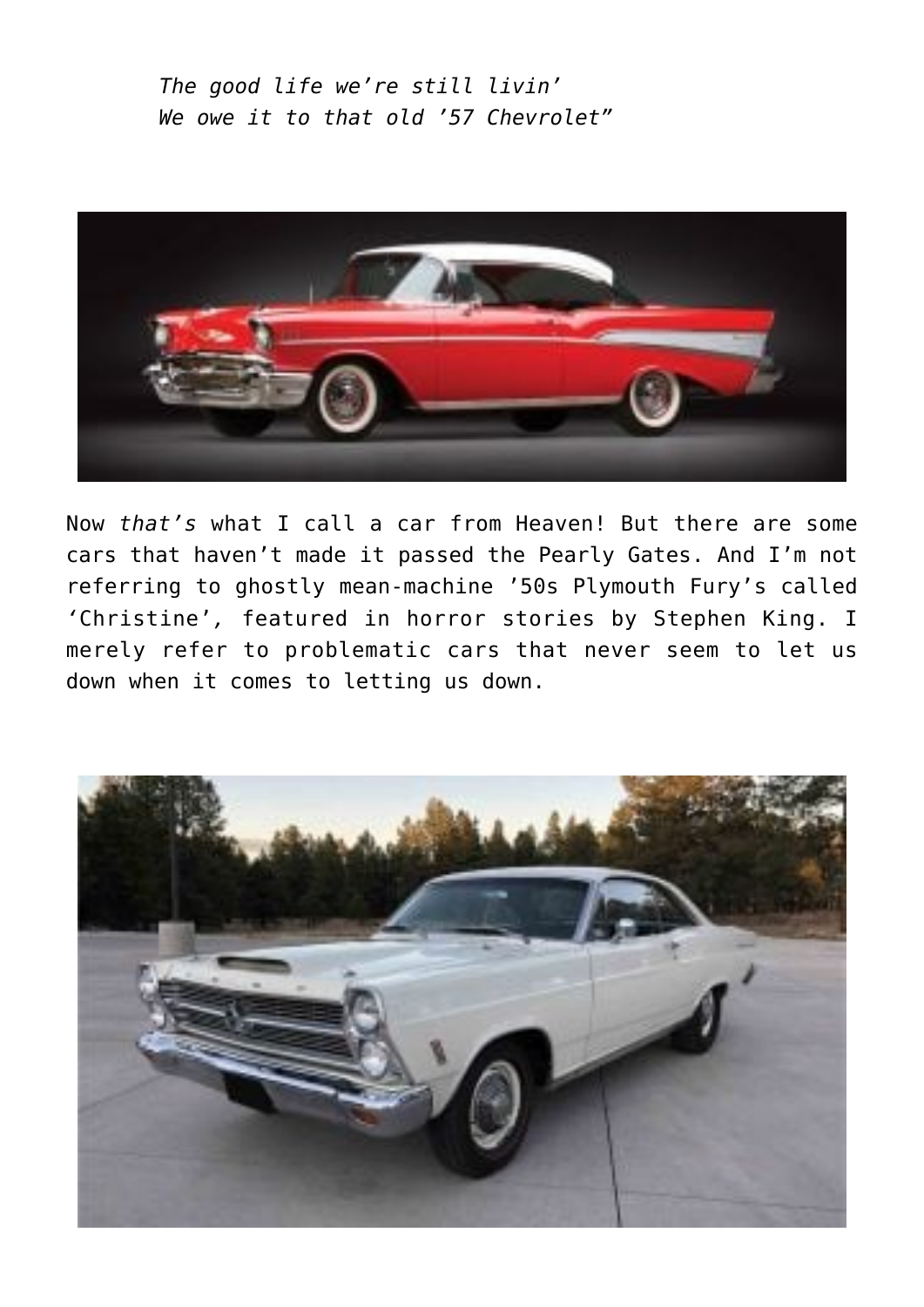*The good life we're still livin' We owe it to that old '57 Chevrolet"*



Now *that's* what I call a car from Heaven! But there are some cars that haven't made it passed the Pearly Gates. And I'm not referring to ghostly mean-machine '50s Plymouth Fury's called *'*Christine'*,* featured in horror stories by Stephen King. I merely refer to problematic cars that never seem to let us down when it comes to letting us down.

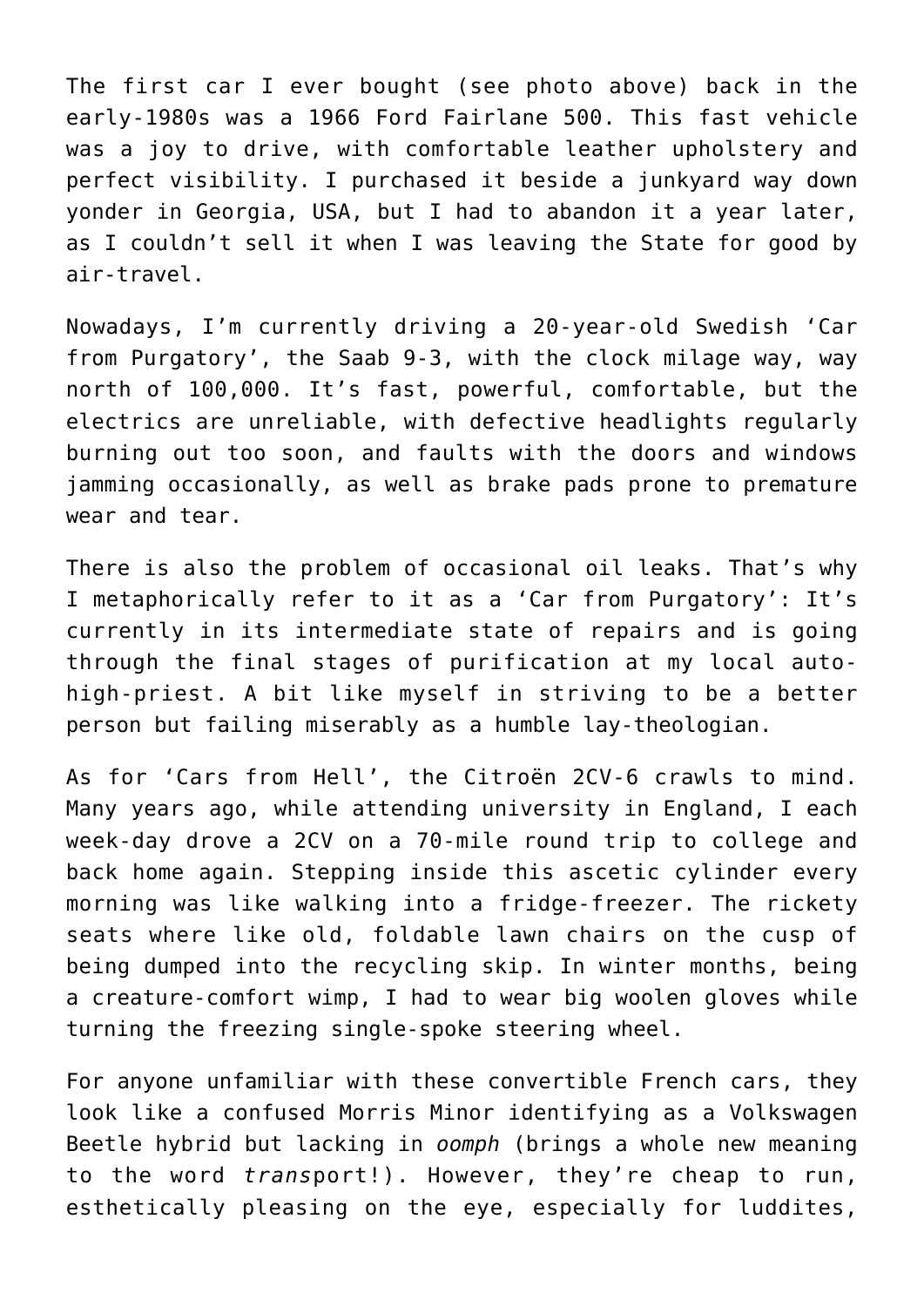The first car I ever bought (see photo above) back in the early-1980s was a 1966 Ford Fairlane 500. This fast vehicle was a joy to drive, with comfortable leather upholstery and perfect visibility. I purchased it beside a junkyard way down yonder in Georgia, USA, but I had to abandon it a year later, as I couldn't sell it when I was leaving the State for good by air-travel.

Nowadays, I'm currently driving a 20-year-old Swedish 'Car from Purgatory', the Saab 9-3, with the clock milage way, way north of 100,000. It's fast, powerful, comfortable, but the electrics are unreliable, with defective headlights regularly burning out too soon, and faults with the doors and windows jamming occasionally, as well as brake pads prone to premature wear and tear.

There is also the problem of occasional oil leaks. That's why I metaphorically refer to it as a 'Car from Purgatory': It's currently in its intermediate state of repairs and is going through the final stages of purification at my local autohigh-priest. A bit like myself in striving to be a better person but failing miserably as a humble lay-theologian.

As for 'Cars from Hell', the Citroën 2CV-6 crawls to mind. Many years ago, while attending university in England, I each week-day drove a 2CV on a 70-mile round trip to college and back home again. Stepping inside this ascetic cylinder every morning was like walking into a fridge-freezer. The rickety seats where like old, foldable lawn chairs on the cusp of being dumped into the recycling skip. In winter months, being a creature-comfort wimp, I had to wear big woolen gloves while turning the freezing single-spoke steering wheel.

For anyone unfamiliar with these convertible French cars, they look like a confused Morris Minor identifying as a Volkswagen Beetle hybrid but lacking in *oomph* (brings a whole new meaning to the word *trans*port!). However, they're cheap to run, esthetically pleasing on the eye, especially for luddites,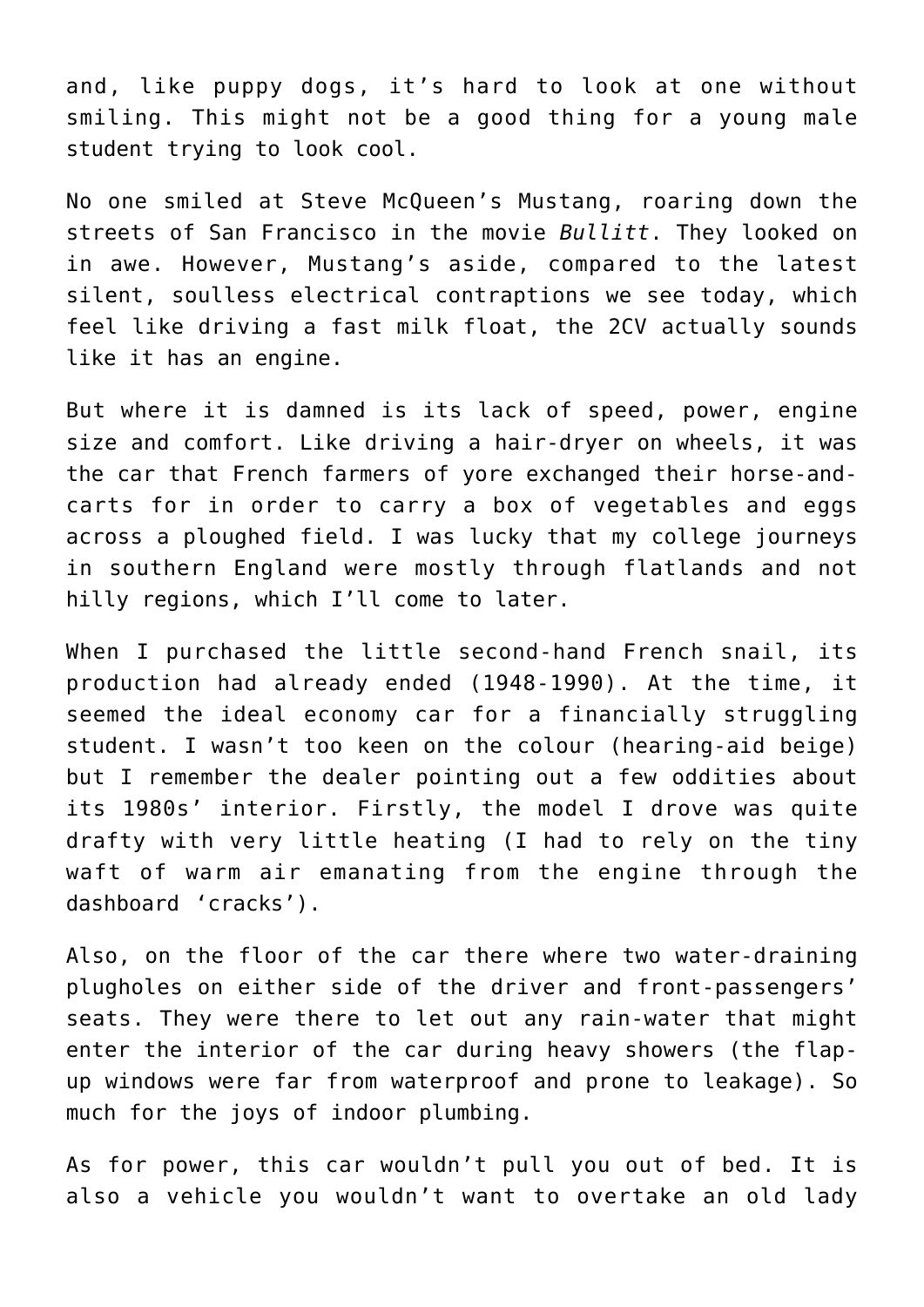and, like puppy dogs, it's hard to look at one without smiling. This might not be a good thing for a young male student trying to look cool.

No one smiled at Steve McQueen's Mustang, roaring down the streets of San Francisco in the movie *Bullitt*. They looked on in awe. However, Mustang's aside, compared to the latest silent, soulless electrical contraptions we see today, which feel like driving a fast milk float, the 2CV actually sounds like it has an engine.

But where it is damned is its lack of speed, power, engine size and comfort. Like driving a hair-dryer on wheels, it was the car that French farmers of yore exchanged their horse-andcarts for in order to carry a box of vegetables and eggs across a ploughed field. I was lucky that my college journeys in southern England were mostly through flatlands and not hilly regions, which I'll come to later.

When I purchased the little second-hand French snail, its production had already ended (1948-1990). At the time, it seemed the ideal economy car for a financially struggling student. I wasn't too keen on the colour (hearing-aid beige) but I remember the dealer pointing out a few oddities about its 1980s' interior. Firstly, the model I drove was quite drafty with very little heating (I had to rely on the tiny waft of warm air emanating from the engine through the dashboard 'cracks').

Also, on the floor of the car there where two water-draining plugholes on either side of the driver and front-passengers' seats. They were there to let out any rain-water that might enter the interior of the car during heavy showers (the flapup windows were far from waterproof and prone to leakage). So much for the joys of indoor plumbing.

As for power, this car wouldn't pull you out of bed. It is also a vehicle you wouldn't want to overtake an old lady